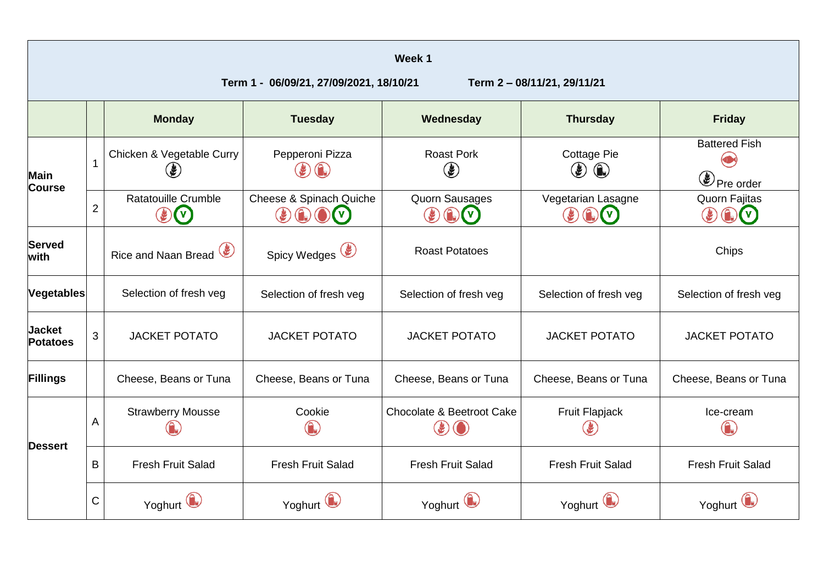| Week 1<br>Term 1 - 06/09/21, 27/09/2021, 18/10/21<br>Term 2-08/11/21, 29/11/21 |                |                                                                                                                                                                 |                        |                                                                                                                                                                                                                                           |                                                              |                                                                                                                                                                                                                                              |  |
|--------------------------------------------------------------------------------|----------------|-----------------------------------------------------------------------------------------------------------------------------------------------------------------|------------------------|-------------------------------------------------------------------------------------------------------------------------------------------------------------------------------------------------------------------------------------------|--------------------------------------------------------------|----------------------------------------------------------------------------------------------------------------------------------------------------------------------------------------------------------------------------------------------|--|
|                                                                                |                | <b>Monday</b>                                                                                                                                                   | <b>Tuesday</b>         | Wednesday                                                                                                                                                                                                                                 | <b>Thursday</b>                                              | <b>Friday</b>                                                                                                                                                                                                                                |  |
| <b>Main</b><br><b>Course</b>                                                   | $\mathbf{1}$   | Chicken & Vegetable Curry<br>۴                                                                                                                                  | Pepperoni Pizza        | <b>Roast Pork</b><br>$\left( \begin{smallmatrix} \bullet \\ \bullet \end{smallmatrix} \right)$                                                                                                                                            | <b>Cottage Pie</b><br>$\bigcirc$<br>$\left(\clubsuit\right)$ | <b>Battered Fish</b><br>Pre order                                                                                                                                                                                                            |  |
|                                                                                | $\overline{2}$ | Ratatouille Crumble<br>Cheese & Spinach Quiche<br>$\bigcirc$ $\bigcirc$ $\bigcirc$ $\bigcirc$<br>$(\mathbf{v})$<br>$\left(\frac{\partial f}{\partial x}\right)$ |                        | <b>Quorn Sausages</b><br>$\left(\begin{smallmatrix} \bullet \\ \bullet \end{smallmatrix}\right) \left(\begin{smallmatrix} \bullet \\ \bullet \end{smallmatrix}\right) \left(\begin{smallmatrix} \vee \\ \bullet \end{smallmatrix}\right)$ | Vegetarian Lasagne<br>$\circledast$ (i)                      | <b>Quorn Fajitas</b><br>$\left(\begin{smallmatrix} \bullet \\ \bullet \end{smallmatrix}\right)$ $\left(\begin{smallmatrix} \bullet \\ \bullet \end{smallmatrix}\right)$ $\left(\begin{smallmatrix} \vee \\ \bullet \end{smallmatrix}\right)$ |  |
| <b>Served</b><br>with                                                          |                | Rice and Naan Bread                                                                                                                                             | Spicy Wedges (         | <b>Roast Potatoes</b>                                                                                                                                                                                                                     |                                                              | Chips                                                                                                                                                                                                                                        |  |
| <b>Vegetables</b>                                                              |                | Selection of fresh veg                                                                                                                                          | Selection of fresh veg | Selection of fresh veg                                                                                                                                                                                                                    | Selection of fresh veg                                       | Selection of fresh veg                                                                                                                                                                                                                       |  |
| <b>Jacket</b><br><b>Potatoes</b>                                               | 3              | <b>JACKET POTATO</b>                                                                                                                                            | <b>JACKET POTATO</b>   | <b>JACKET POTATO</b>                                                                                                                                                                                                                      | <b>JACKET POTATO</b>                                         | <b>JACKET POTATO</b>                                                                                                                                                                                                                         |  |
| Fillings                                                                       |                | Cheese, Beans or Tuna                                                                                                                                           | Cheese, Beans or Tuna  | Cheese, Beans or Tuna                                                                                                                                                                                                                     | Cheese, Beans or Tuna                                        | Cheese, Beans or Tuna                                                                                                                                                                                                                        |  |
| <b>Dessert</b>                                                                 | A              | <b>Strawberry Mousse</b>                                                                                                                                        | Cookie                 | Chocolate & Beetroot Cake                                                                                                                                                                                                                 | Fruit Flapjack                                               | Ice-cream                                                                                                                                                                                                                                    |  |
|                                                                                | B              | <b>Fresh Fruit Salad</b><br><b>Fresh Fruit Salad</b>                                                                                                            |                        | <b>Fresh Fruit Salad</b>                                                                                                                                                                                                                  | <b>Fresh Fruit Salad</b>                                     | <b>Fresh Fruit Salad</b>                                                                                                                                                                                                                     |  |
|                                                                                | $\mathsf C$    | Yoghurt                                                                                                                                                         | Yoghurt                | Yoghurt                                                                                                                                                                                                                                   | Yoghurt                                                      | Yoghurt                                                                                                                                                                                                                                      |  |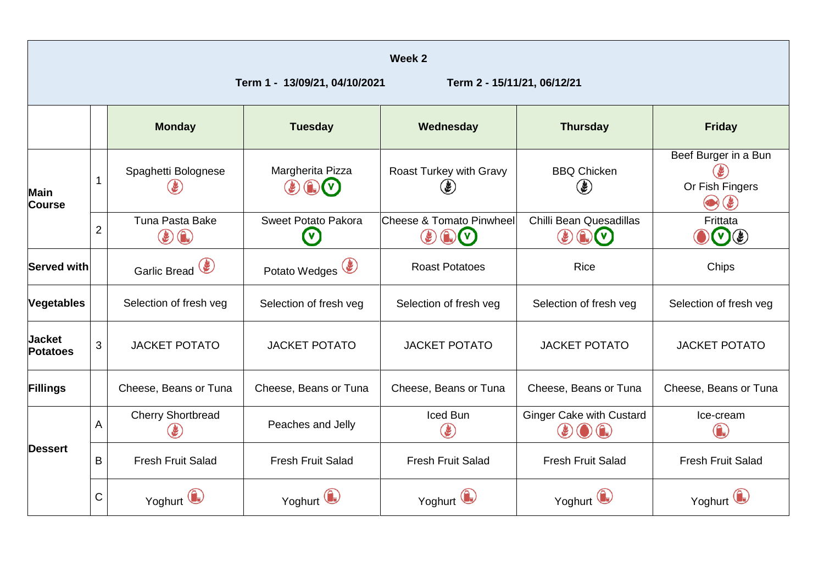|                                  |                |                                                       |                                                  | Week <sub>2</sub>                                                                                                                                                        |                                                                                                                  |                                                                                                                          |
|----------------------------------|----------------|-------------------------------------------------------|--------------------------------------------------|--------------------------------------------------------------------------------------------------------------------------------------------------------------------------|------------------------------------------------------------------------------------------------------------------|--------------------------------------------------------------------------------------------------------------------------|
|                                  |                |                                                       | Term 1 - 13/09/21, 04/10/2021                    | Term 2 - 15/11/21, 06/12/21                                                                                                                                              |                                                                                                                  |                                                                                                                          |
|                                  |                | <b>Monday</b>                                         | <b>Tuesday</b>                                   | Wednesday                                                                                                                                                                | <b>Thursday</b>                                                                                                  | <b>Friday</b>                                                                                                            |
| <b>Main</b><br><b>Course</b>     | $\mathbf{1}$   | Spaghetti Bolognese                                   | Margherita Pizza<br>$\left( \frac{1}{2} \right)$ | Roast Turkey with Gravy<br>J.                                                                                                                                            | <b>BBQ Chicken</b><br>$\left( \boldsymbol{\ell} \right)$                                                         | Beef Burger in a Bun<br>E<br>Or Fish Fingers<br>$\left( \begin{smallmatrix} \bullet \ \bullet \end{smallmatrix} \right)$ |
|                                  | $\overline{2}$ | Tuna Pasta Bake<br>$\left(  \right)  \left(  \right)$ | Sweet Potato Pakora<br>$\mathbf\Omega$           | <b>Cheese &amp; Tomato Pinwheel</b><br>$\left(\begin{matrix} 1 \\ 0 \end{matrix}\right)$ $\left(\begin{matrix} V \\ V \end{matrix}\right)$<br>$\left( \clubsuit \right)$ | Chilli Bean Quesadillas<br>$\circledast$ $\circledast$ $\circledast$                                             | Frittata<br>$\mathbf{v}(\mathbf{r})$                                                                                     |
| <b>Served with</b>               |                | Garlic Bread                                          | Potato Wedges                                    | <b>Roast Potatoes</b>                                                                                                                                                    | Rice                                                                                                             | Chips                                                                                                                    |
| <b>Vegetables</b>                |                | Selection of fresh veg                                | Selection of fresh veg                           | Selection of fresh veg                                                                                                                                                   | Selection of fresh veg                                                                                           | Selection of fresh veg                                                                                                   |
| <b>Jacket</b><br><b>Potatoes</b> | 3              | <b>JACKET POTATO</b>                                  | <b>JACKET POTATO</b>                             | <b>JACKET POTATO</b>                                                                                                                                                     | <b>JACKET POTATO</b>                                                                                             | <b>JACKET POTATO</b>                                                                                                     |
| <b>Fillings</b>                  |                | Cheese, Beans or Tuna                                 | Cheese, Beans or Tuna                            | Cheese, Beans or Tuna                                                                                                                                                    | Cheese, Beans or Tuna                                                                                            | Cheese, Beans or Tuna                                                                                                    |
| <b>Dessert</b>                   | A              | <b>Cherry Shortbread</b><br>Ł                         | Peaches and Jelly                                | Iced Bun<br>E                                                                                                                                                            | <b>Ginger Cake with Custard</b><br>$\left(\begin{matrix} 1 \\ 0 \end{matrix}\right)$<br>$\left(\clubsuit\right)$ | Ice-cream<br>G                                                                                                           |
|                                  | B              | <b>Fresh Fruit Salad</b><br><b>Fresh Fruit Salad</b>  |                                                  | <b>Fresh Fruit Salad</b>                                                                                                                                                 | <b>Fresh Fruit Salad</b>                                                                                         | <b>Fresh Fruit Salad</b>                                                                                                 |
|                                  | C              | Yoghurt U                                             | Yoghurt                                          | Yoghurt                                                                                                                                                                  | Yoghurt                                                                                                          | Yoghurt                                                                                                                  |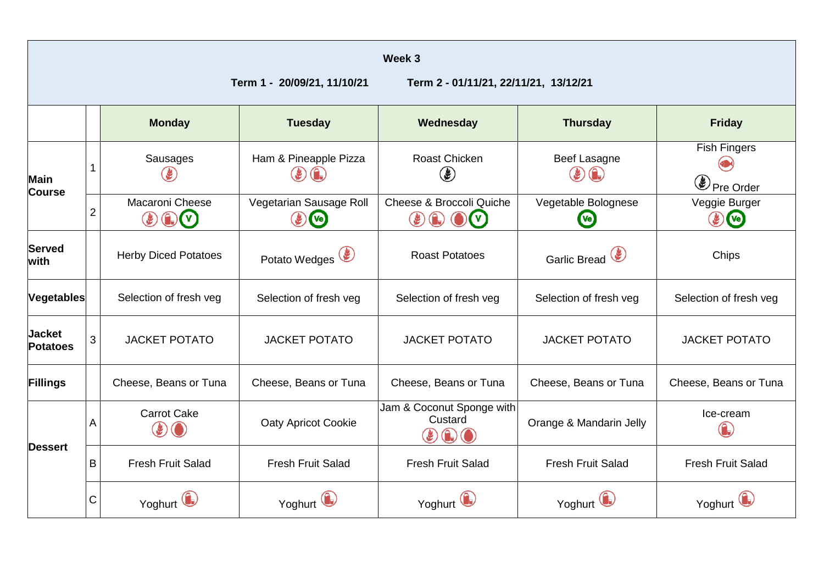| Week 3                           |                |                                                                                        |                                                                            |                                                                   |                                                                     |                                    |
|----------------------------------|----------------|----------------------------------------------------------------------------------------|----------------------------------------------------------------------------|-------------------------------------------------------------------|---------------------------------------------------------------------|------------------------------------|
| Term 1 - 20/09/21, 11/10/21      |                |                                                                                        |                                                                            | Term 2 - 01/11/21, 22/11/21, 13/12/21                             |                                                                     |                                    |
|                                  |                | <b>Monday</b>                                                                          | <b>Tuesday</b>                                                             | Wednesday                                                         | <b>Thursday</b>                                                     | <b>Friday</b>                      |
| <b>Main</b><br><b>Course</b>     |                | Sausages                                                                               | Ham & Pineapple Pizza<br>$\left( \mathbf{F}\right)$<br>$( \bigcap_{i=1}^n$ | <b>Roast Chicken</b><br>$\left( \boldsymbol{\ell} \right)$        | <b>Beef Lasagne</b><br>$\left(\frac{\partial f}{\partial x}\right)$ | <b>Fish Fingers</b><br>Pre Order   |
|                                  | $\overline{2}$ | Macaroni Cheese<br>Vegetarian Sausage Roll<br>(v <sub>e</sub> )<br>G<br>$(\mathsf{v})$ |                                                                            | Cheese & Broccoli Quiche<br>$\left( \mathbf{r}\right)$            | Vegetable Bolognese<br><b>Ve</b>                                    | Veggie Burger<br>$\mathbf{F}$ (Ve) |
| <b>Served</b><br>with            |                | <b>Herby Diced Potatoes</b>                                                            | Potato Wedges <sup>(2)</sup>                                               | <b>Roast Potatoes</b>                                             | Garlic Bread                                                        | Chips                              |
| Vegetables                       |                | Selection of fresh veg                                                                 | Selection of fresh veg                                                     | Selection of fresh veg                                            | Selection of fresh veg                                              | Selection of fresh veg             |
| <b>Jacket</b><br><b>Potatoes</b> | 3              | <b>JACKET POTATO</b>                                                                   | <b>JACKET POTATO</b>                                                       | <b>JACKET POTATO</b>                                              | <b>JACKET POTATO</b>                                                | <b>JACKET POTATO</b>               |
| Fillings                         |                | Cheese, Beans or Tuna                                                                  | Cheese, Beans or Tuna                                                      | Cheese, Beans or Tuna                                             | Cheese, Beans or Tuna                                               | Cheese, Beans or Tuna              |
| <b>Dessert</b>                   | A              | <b>Carrot Cake</b><br><b>Oaty Apricot Cookie</b><br>$\mathbf{\Theta}$ $\mathbf{O}$     |                                                                            | Jam & Coconut Sponge with<br>Custard<br>$\left(\mathbf{g}\right)$ | Orange & Mandarin Jelly                                             | Ice-cream                          |
|                                  | B              | <b>Fresh Fruit Salad</b>                                                               | <b>Fresh Fruit Salad</b>                                                   | <b>Fresh Fruit Salad</b>                                          | <b>Fresh Fruit Salad</b>                                            | <b>Fresh Fruit Salad</b>           |
|                                  | $\mathsf C$    | Yoghurt                                                                                | Yoghurt                                                                    | Yoghurt                                                           | Yoghurt                                                             | Yoghurt                            |